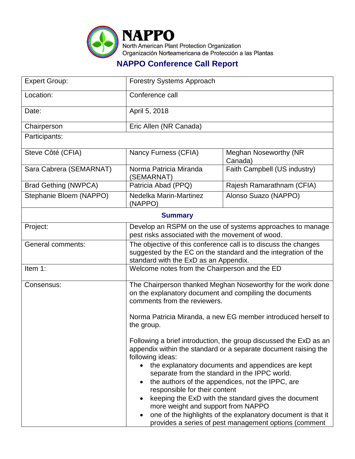

## **NAPPO Conference Call Report**

| <b>Expert Group:</b>        | <b>Forestry Systems Approach</b>                                                                                                                                                                                                                                                                                                                                                                                                                                                                                                                                                        |                                         |  |  |
|-----------------------------|-----------------------------------------------------------------------------------------------------------------------------------------------------------------------------------------------------------------------------------------------------------------------------------------------------------------------------------------------------------------------------------------------------------------------------------------------------------------------------------------------------------------------------------------------------------------------------------------|-----------------------------------------|--|--|
| Location:                   | Conference call                                                                                                                                                                                                                                                                                                                                                                                                                                                                                                                                                                         |                                         |  |  |
| Date:                       | April 5, 2018                                                                                                                                                                                                                                                                                                                                                                                                                                                                                                                                                                           |                                         |  |  |
| Chairperson                 | Eric Allen (NR Canada)                                                                                                                                                                                                                                                                                                                                                                                                                                                                                                                                                                  |                                         |  |  |
| Participants:               |                                                                                                                                                                                                                                                                                                                                                                                                                                                                                                                                                                                         |                                         |  |  |
| Steve Côté (CFIA)           | Nancy Furness (CFIA)                                                                                                                                                                                                                                                                                                                                                                                                                                                                                                                                                                    | <b>Meghan Noseworthy (NR</b><br>Canada) |  |  |
| Sara Cabrera (SEMARNAT)     | Norma Patricia Miranda<br>(SEMARNAT)                                                                                                                                                                                                                                                                                                                                                                                                                                                                                                                                                    | Faith Campbell (US industry)            |  |  |
| <b>Brad Gething (NWPCA)</b> | Patricia Abad (PPQ)                                                                                                                                                                                                                                                                                                                                                                                                                                                                                                                                                                     | Rajesh Ramarathnam (CFIA)               |  |  |
| Stephanie Bloem (NAPPO)     | Nedelka Marin-Martinez<br>(NAPPO)                                                                                                                                                                                                                                                                                                                                                                                                                                                                                                                                                       | Alonso Suazo (NAPPO)                    |  |  |
|                             | <b>Summary</b>                                                                                                                                                                                                                                                                                                                                                                                                                                                                                                                                                                          |                                         |  |  |
| Project:                    | Develop an RSPM on the use of systems approaches to manage<br>pest risks associated with the movement of wood.                                                                                                                                                                                                                                                                                                                                                                                                                                                                          |                                         |  |  |
| General comments:           | The objective of this conference call is to discuss the changes<br>suggested by the EC on the standard and the integration of the<br>standard with the ExD as an Appendix.                                                                                                                                                                                                                                                                                                                                                                                                              |                                         |  |  |
| Item 1:                     | Welcome notes from the Chairperson and the ED                                                                                                                                                                                                                                                                                                                                                                                                                                                                                                                                           |                                         |  |  |
| Consensus:                  | The Chairperson thanked Meghan Noseworthy for the work done<br>on the explanatory document and compiling the documents<br>comments from the reviewers.<br>Norma Patricia Miranda, a new EG member introduced herself to<br>the group.                                                                                                                                                                                                                                                                                                                                                   |                                         |  |  |
|                             | Following a brief introduction, the group discussed the ExD as an<br>appendix within the standard or a separate document raising the<br>following ideas:<br>the explanatory documents and appendices are kept<br>separate from the standard in the IPPC world.<br>the authors of the appendices, not the IPPC, are<br>responsible for their content<br>keeping the ExD with the standard gives the document<br>more weight and support from NAPPO<br>one of the highlights of the explanatory document is that it<br>$\bullet$<br>provides a series of pest management options (comment |                                         |  |  |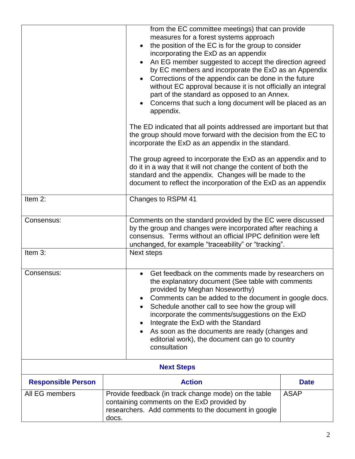|                           |                                                                                                                               | from the EC committee meetings) that can provide                                                                                                                                           |  |  |
|---------------------------|-------------------------------------------------------------------------------------------------------------------------------|--------------------------------------------------------------------------------------------------------------------------------------------------------------------------------------------|--|--|
|                           |                                                                                                                               | measures for a forest systems approach<br>the position of the EC is for the group to consider                                                                                              |  |  |
|                           |                                                                                                                               | incorporating the ExD as an appendix                                                                                                                                                       |  |  |
|                           |                                                                                                                               | An EG member suggested to accept the direction agreed<br>by EC members and incorporate the ExD as an Appendix                                                                              |  |  |
|                           |                                                                                                                               | Corrections of the appendix can be done in the future                                                                                                                                      |  |  |
|                           |                                                                                                                               | without EC approval because it is not officially an integral<br>part of the standard as opposed to an Annex.                                                                               |  |  |
|                           |                                                                                                                               | Concerns that such a long document will be placed as an<br>appendix.                                                                                                                       |  |  |
|                           |                                                                                                                               | The ED indicated that all points addressed are important but that<br>the group should move forward with the decision from the EC to<br>incorporate the ExD as an appendix in the standard. |  |  |
|                           | The group agreed to incorporate the ExD as an appendix and to                                                                 |                                                                                                                                                                                            |  |  |
|                           |                                                                                                                               | do it in a way that it will not change the content of both the<br>standard and the appendix. Changes will be made to the                                                                   |  |  |
|                           |                                                                                                                               | document to reflect the incorporation of the ExD as an appendix                                                                                                                            |  |  |
| Item 2:                   |                                                                                                                               | Changes to RSPM 41                                                                                                                                                                         |  |  |
| Consensus:                |                                                                                                                               | Comments on the standard provided by the EC were discussed                                                                                                                                 |  |  |
|                           | by the group and changes were incorporated after reaching a<br>consensus. Terms without an official IPPC definition were left |                                                                                                                                                                                            |  |  |
|                           |                                                                                                                               | unchanged, for example "traceability" or "tracking".                                                                                                                                       |  |  |
| Item 3:                   |                                                                                                                               | Next steps                                                                                                                                                                                 |  |  |
| Consensus:                |                                                                                                                               | Get feedback on the comments made by researchers on                                                                                                                                        |  |  |
|                           |                                                                                                                               | the explanatory document (See table with comments<br>provided by Meghan Noseworthy)                                                                                                        |  |  |
|                           | Comments can be added to the document in google docs.                                                                         |                                                                                                                                                                                            |  |  |
|                           | Schedule another call to see how the group will<br>incorporate the comments/suggestions on the ExD                            |                                                                                                                                                                                            |  |  |
|                           | Integrate the ExD with the Standard                                                                                           |                                                                                                                                                                                            |  |  |
|                           | As soon as the documents are ready (changes and<br>editorial work), the document can go to country                            |                                                                                                                                                                                            |  |  |
|                           | consultation                                                                                                                  |                                                                                                                                                                                            |  |  |
| <b>Next Steps</b>         |                                                                                                                               |                                                                                                                                                                                            |  |  |
| <b>Responsible Person</b> |                                                                                                                               | <b>Action</b>                                                                                                                                                                              |  |  |
| All EG members            | Provide feedback (in track change mode) on the table<br><b>ASAP</b>                                                           |                                                                                                                                                                                            |  |  |
|                           |                                                                                                                               | containing comments on the ExD provided by<br>researchers. Add comments to the document in google                                                                                          |  |  |
|                           | docs.                                                                                                                         |                                                                                                                                                                                            |  |  |